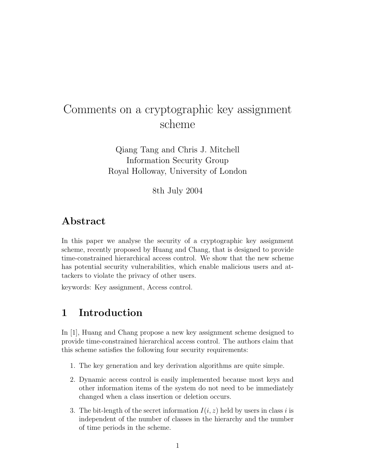# Comments on a cryptographic key assignment scheme

Qiang Tang and Chris J. Mitchell Information Security Group Royal Holloway, University of London

8th July 2004

# Abstract

In this paper we analyse the security of a cryptographic key assignment scheme, recently proposed by Huang and Chang, that is designed to provide time-constrained hierarchical access control. We show that the new scheme has potential security vulnerabilities, which enable malicious users and attackers to violate the privacy of other users.

keywords: Key assignment, Access control.

## 1 Introduction

In [1], Huang and Chang propose a new key assignment scheme designed to provide time-constrained hierarchical access control. The authors claim that this scheme satisfies the following four security requirements:

- 1. The key generation and key derivation algorithms are quite simple.
- 2. Dynamic access control is easily implemented because most keys and other information items of the system do not need to be immediately changed when a class insertion or deletion occurs.
- 3. The bit-length of the secret information  $I(i, z)$  held by users in class i is independent of the number of classes in the hierarchy and the number of time periods in the scheme.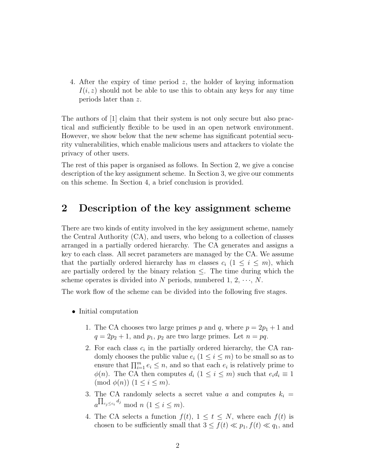4. After the expiry of time period z, the holder of keying information  $I(i, z)$  should not be able to use this to obtain any keys for any time periods later than z.

The authors of [1] claim that their system is not only secure but also practical and sufficiently flexible to be used in an open network environment. However, we show below that the new scheme has significant potential security vulnerabilities, which enable malicious users and attackers to violate the privacy of other users.

The rest of this paper is organised as follows. In Section 2, we give a concise description of the key assignment scheme. In Section 3, we give our comments on this scheme. In Section 4, a brief conclusion is provided.

#### 2 Description of the key assignment scheme

There are two kinds of entity involved in the key assignment scheme, namely the Central Authority (CA), and users, who belong to a collection of classes arranged in a partially ordered hierarchy. The CA generates and assigns a key to each class. All secret parameters are managed by the CA. We assume that the partially ordered hierarchy has m classes  $c_i$   $(1 \leq i \leq m)$ , which are partially ordered by the binary relation  $\leq$ . The time during which the scheme operates is divided into N periods, numbered 1,  $2, \dots, N$ .

The work flow of the scheme can be divided into the following five stages.

- Initial computation
	- 1. The CA chooses two large primes p and q, where  $p = 2p_1 + 1$  and  $q = 2p_2 + 1$ , and  $p_1$ ,  $p_2$  are two large primes. Let  $n = pq$ .
	- 2. For each class  $c_i$  in the partially ordered hierarchy, the CA randomly chooses the public value  $e_i$   $(1 \leq i \leq m)$  to be small so as to ensure that  $\prod_{i=1}^{m} e_i \leq n$ , and so that each  $e_i$  is relatively prime to  $\phi(n)$ . The CA then computes  $d_i$   $(1 \leq i \leq m)$  such that  $e_i d_i \equiv 1$  $\pmod{\phi(n)}$   $(1 \leq i \leq m)$ .
	- 3. The CA randomly selects a secret value a and computes  $k_i =$  $a^{\prod_{c_j\leq c_i}d_j}$  mod  $n (1 \leq i \leq m)$ .
	- 4. The CA selects a function  $f(t)$ ,  $1 \le t \le N$ , where each  $f(t)$  is chosen to be sufficiently small that  $3 \le f(t) \ll p_1, f(t) \ll q_1$ , and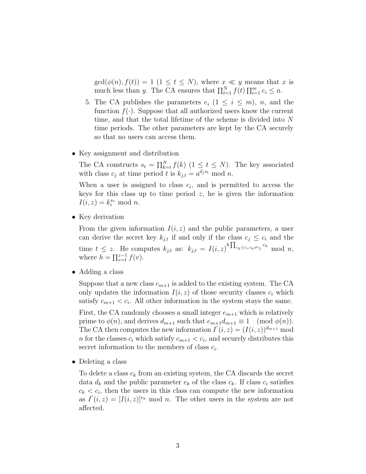$gcd(\phi(n), f(t)) = 1$   $(1 \le t \le N)$ , where  $x \ll y$  means that x is much less than y. The CA ensures that  $\prod_{t=1}^{N} f(t) \prod_{i=1}^{m} e_i \leq n$ .

- 5. The CA publishes the parameters  $e_i$   $(1 \leq i \leq m)$ , n, and the function  $f(\cdot)$ . Suppose that all authorized users know the current time, and that the total lifetime of the scheme is divided into N time periods. The other parameters are kept by the CA securely so that no users can access them.
- Key assignment and distribution

The CA constructs  $s_t = \prod_{k=t}^{N} f(k)$   $(1 \leq t \leq N)$ . The key associated with class  $c_j$  at time period t is  $k_{j,t} = a^{d_j s_t} \mod n$ .

When a user is assigned to class  $c_i$ , and is permitted to access the keys for this class up to time period  $z$ , he is given the information  $I(i, z) = k_i^{s_z} \mod n.$ 

• Key derivation

From the given information  $I(i, z)$  and the public parameters, a user can derive the secret key  $k_{j,t}$  if and only if the class  $c_j \leq c_i$  and the time  $t \leq z$ . He computes  $k_{j,t}$  as:  $k_{j,t} = I(i,z)^{h \prod_{c_k \leq c_i, c_k \neq c_j} e_k} \mod n$ , where  $h = \prod_{v=t}^{z-1} f(v)$ .

• Adding a class

Suppose that a new class  $c_{m+1}$  is added to the existing system. The CA only updates the information  $I(i, z)$  of those security classes  $c_i$  which satisfy  $c_{m+1} < c_i$ . All other information in the system stays the same.

First, the CA randomly chooses a small integer  $e_{m+1}$  which is relatively prime to  $\phi(n)$ , and derives  $d_{m+1}$  such that  $e_{m+1}d_{m+1} \equiv 1 \pmod{\phi(n)}$ . The CA then computes the new information  $I'(i, z) = (I(i, z))^{d_{m+1}}$  mod *n* for the classes  $c_i$  which satisfy  $c_{m+1} < c_i$ , and securely distributes this secret information to the members of class  $c_i$ .

• Deleting a class

To delete a class  $c_k$  from an existing system, the CA discards the secret data  $d_k$  and the public parameter  $e_k$  of the class  $c_k$ . If class  $c_i$  satisfies  $c_k < c_i$ , then the users in this class can compute the new information as  $I'(i, z) = [I(i, z)]^{e_k}$  mod n. The other users in the system are not affected.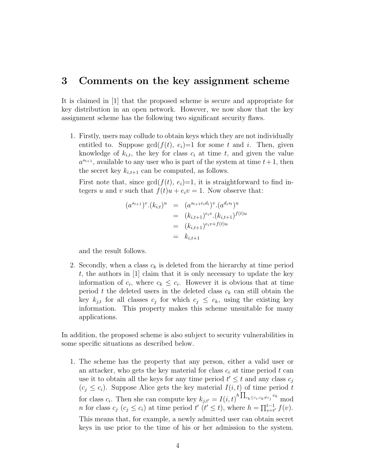#### 3 Comments on the key assignment scheme

It is claimed in [1] that the proposed scheme is secure and appropriate for key distribution in an open network. However, we now show that the key assignment scheme has the following two significant security flaws.

1. Firstly, users may collude to obtain keys which they are not individually entitled to. Suppose  $gcd(f(t), e_i)=1$  for some t and i. Then, given knowledge of  $k_{i,t}$ , the key for class  $c_i$  at time t, and given the value  $a^{s_{t+1}}$ , available to any user who is part of the system at time  $t+1$ , then the secret key  $k_{i,t+1}$  can be computed, as follows.

First note that, since  $gcd(f(t), e_i)=1$ , it is straightforward to find integers u and v such that  $f(t)u + e_i v = 1$ . Now observe that:

$$
(a^{s_{t+1}})^{v} \cdot (k_{i,t})^{u} = (a^{s_{t+1}e_i d_i})^{v} \cdot (a^{d_i s_t})^{u}
$$
  
=  $(k_{i,t+1})^{e_i v} \cdot (k_{i,t+1})^{f(t)u}$   
=  $(k_{i,t+1})^{e_i v + f(t)u}$   
=  $k_{i,t+1}$ 

and the result follows.

2. Secondly, when a class  $c_k$  is deleted from the hierarchy at time period t, the authors in  $[1]$  claim that it is only necessary to update the key information of  $c_i$ , where  $c_k \leq c_i$ . However it is obvious that at time period t the deleted users in the deleted class  $c_k$  can still obtain the key  $k_{j,t}$  for all classes  $c_j$  for which  $c_j \leq c_k$ , using the existing key information. This property makes this scheme unsuitable for many applications.

In addition, the proposed scheme is also subject to security vulnerabilities in some specific situations as described below.

1. The scheme has the property that any person, either a valid user or an attacker, who gets the key material for class  $c_i$  at time period t can use it to obtain all the keys for any time period  $t' \leq t$  and any class  $c_j$  $(c_j \leq c_i)$ . Suppose Alice gets the key material  $I(i, t)$  of time period t for class  $c_i$ . Then she can compute key  $k_{j,t'} = I(i, t)^{h \prod_{c_k \leq c_i, c_k \neq c_j} e_k}$  mod n for class  $c_i$ . Then she can compute  $\lim_{t \to \infty} \frac{c_i}{b_i} = I(t, b)$ , where  $h = \prod_{v=t}^{t-1}$  $_{v=t'}^{t-1} f(v).$ This means that, for example, a newly admitted user can obtain secret keys in use prior to the time of his or her admission to the system.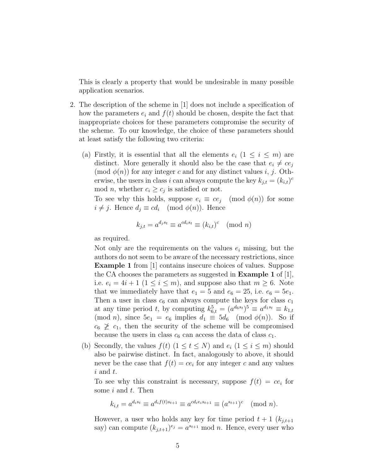This is clearly a property that would be undesirable in many possible application scenarios.

- 2. The description of the scheme in [1] does not include a specification of how the parameters  $e_i$  and  $f(t)$  should be chosen, despite the fact that inappropriate choices for these parameters compromise the security of the scheme. To our knowledge, the choice of these parameters should at least satisfy the following two criteria:
	- (a) Firstly, it is essential that all the elements  $e_i$   $(1 \leq i \leq m)$  are distinct. More generally it should also be the case that  $e_i \neq ce_j$  $\pmod{\phi(n)}$  for any integer c and for any distinct values i, j. Otherwise, the users in class i can always compute the key  $k_{j,t} = (k_{i,t})^c$ mod *n*, whether  $c_i \geq c_j$  is satisfied or not.

To see why this holds, suppose  $e_i \equiv ce_j \pmod{\phi(n)}$  for some  $i \neq j$ . Hence  $d_j \equiv cd_i \pmod{\phi(n)}$ . Hence

$$
k_{j,t} = a^{d_j s_t} \equiv a^{cd_i s_t} \equiv (k_{i,t})^c \pmod{n}
$$

as required.

Not only are the requirements on the values  $e_i$  missing, but the authors do not seem to be aware of the necessary restrictions, since Example 1 from [1] contains insecure choices of values. Suppose the CA chooses the parameters as suggested in Example 1 of [1], i.e.  $e_i = 4i + 1$   $(1 \leq i \leq m)$ , and suppose also that  $m \geq 6$ . Note that we immediately have that  $e_1 = 5$  and  $e_6 = 25$ , i.e.  $e_6 = 5e_1$ . Then a user in class  $c_6$  can always compute the keys for class  $c_1$ at any time period t, by computing  $k_{6,t}^5 = (a^{d_6 s_t})^5 \equiv a^{d_1 s_t} \equiv k_{1,t}$ (mod *n*), since  $5e_1 = e_6$  implies  $d_1 \equiv 5d_6 \pmod{\phi(n)}$ . So if  $c_6 \not\geq c_1$ , then the security of the scheme will be compromised because the users in class  $c_6$  can access the data of class  $c_1$ .

(b) Secondly, the values  $f(t)$   $(1 \le t \le N)$  and  $e_i$   $(1 \le i \le m)$  should also be pairwise distinct. In fact, analogously to above, it should never be the case that  $f(t) = ce_i$  for any integer c and any values  $i$  and  $t$ .

To see why this constraint is necessary, suppose  $f(t) = ce_i$  for some  $i$  and  $t$ . Then

$$
k_{i,t} = a^{d_i s_t} \equiv a^{d_i f(t) s_{t+1}} \equiv a^{c d_i e_i s_{t+1}} \equiv (a^{s_{t+1}})^c \pmod{n}.
$$

However, a user who holds any key for time period  $t + 1$  ( $k_{j,t+1}$ ) say) can compute  $(k_{j,t+1})^{e_j} = a^{s_{t+1}} \bmod n$ . Hence, every user who